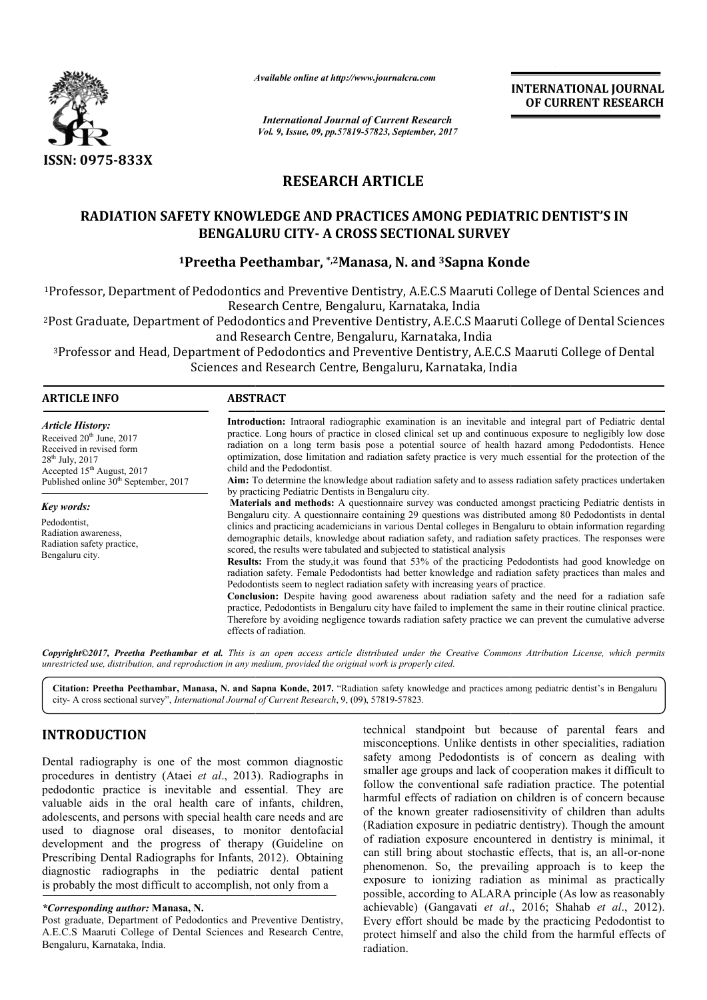

*Available online at http://www.journal http://www.journalcra.com*

# **RESEARCH ARTICLE**

# **RADIATION SAFETY KNOWLEDGE AND PRACTICES AMONG PEDIATRIC DENTIST'S IN BENGALURU CITY CITY- A CROSS SECTIONAL SURVEY**

# **1Preetha Peethambar, Preetha \*,2Manasa, N. and 3Sapna Konde Sapna**

|                                                                                                                                                                                                                                                                                                                                                                                                                                                                                                                                                                                                                                                                                                                                                                                                                    | л гипион опине иг нир.// www.journancra.com<br><b>International Journal of Current Research</b><br>Vol. 9, Issue, 09, pp.57819-57823, September, 2017                                                                                                                                                                                                                                                                                                                                                                                                                                                                                                                                                                                                                                                                                                                                                                                                                                                                                                                                                                                                                                                                                                                                                                                                                                                                                                                                                                                                                                                                                                                                                                                                                                                                                              |                                              | <b>INTERNATIONAL JOURNAL</b><br>OF CURRENT RESEARCH                                                                                                                                                                                                                                                                                                                                                                                                                                                                                                                                                                                                                                                                                                                                                                                                                                                                            |  |
|--------------------------------------------------------------------------------------------------------------------------------------------------------------------------------------------------------------------------------------------------------------------------------------------------------------------------------------------------------------------------------------------------------------------------------------------------------------------------------------------------------------------------------------------------------------------------------------------------------------------------------------------------------------------------------------------------------------------------------------------------------------------------------------------------------------------|----------------------------------------------------------------------------------------------------------------------------------------------------------------------------------------------------------------------------------------------------------------------------------------------------------------------------------------------------------------------------------------------------------------------------------------------------------------------------------------------------------------------------------------------------------------------------------------------------------------------------------------------------------------------------------------------------------------------------------------------------------------------------------------------------------------------------------------------------------------------------------------------------------------------------------------------------------------------------------------------------------------------------------------------------------------------------------------------------------------------------------------------------------------------------------------------------------------------------------------------------------------------------------------------------------------------------------------------------------------------------------------------------------------------------------------------------------------------------------------------------------------------------------------------------------------------------------------------------------------------------------------------------------------------------------------------------------------------------------------------------------------------------------------------------------------------------------------------------|----------------------------------------------|--------------------------------------------------------------------------------------------------------------------------------------------------------------------------------------------------------------------------------------------------------------------------------------------------------------------------------------------------------------------------------------------------------------------------------------------------------------------------------------------------------------------------------------------------------------------------------------------------------------------------------------------------------------------------------------------------------------------------------------------------------------------------------------------------------------------------------------------------------------------------------------------------------------------------------|--|
|                                                                                                                                                                                                                                                                                                                                                                                                                                                                                                                                                                                                                                                                                                                                                                                                                    |                                                                                                                                                                                                                                                                                                                                                                                                                                                                                                                                                                                                                                                                                                                                                                                                                                                                                                                                                                                                                                                                                                                                                                                                                                                                                                                                                                                                                                                                                                                                                                                                                                                                                                                                                                                                                                                    |                                              |                                                                                                                                                                                                                                                                                                                                                                                                                                                                                                                                                                                                                                                                                                                                                                                                                                                                                                                                |  |
| ISSN: 0975-833X                                                                                                                                                                                                                                                                                                                                                                                                                                                                                                                                                                                                                                                                                                                                                                                                    |                                                                                                                                                                                                                                                                                                                                                                                                                                                                                                                                                                                                                                                                                                                                                                                                                                                                                                                                                                                                                                                                                                                                                                                                                                                                                                                                                                                                                                                                                                                                                                                                                                                                                                                                                                                                                                                    |                                              |                                                                                                                                                                                                                                                                                                                                                                                                                                                                                                                                                                                                                                                                                                                                                                                                                                                                                                                                |  |
|                                                                                                                                                                                                                                                                                                                                                                                                                                                                                                                                                                                                                                                                                                                                                                                                                    | <b>RESEARCH ARTICLE</b>                                                                                                                                                                                                                                                                                                                                                                                                                                                                                                                                                                                                                                                                                                                                                                                                                                                                                                                                                                                                                                                                                                                                                                                                                                                                                                                                                                                                                                                                                                                                                                                                                                                                                                                                                                                                                            |                                              |                                                                                                                                                                                                                                                                                                                                                                                                                                                                                                                                                                                                                                                                                                                                                                                                                                                                                                                                |  |
|                                                                                                                                                                                                                                                                                                                                                                                                                                                                                                                                                                                                                                                                                                                                                                                                                    | <b>RADIATION SAFETY KNOWLEDGE AND PRACTICES AMONG PEDIATRIC DENTIST'S IN</b><br><b>BENGALURU CITY- A CROSS SECTIONAL SURVEY</b>                                                                                                                                                                                                                                                                                                                                                                                                                                                                                                                                                                                                                                                                                                                                                                                                                                                                                                                                                                                                                                                                                                                                                                                                                                                                                                                                                                                                                                                                                                                                                                                                                                                                                                                    |                                              |                                                                                                                                                                                                                                                                                                                                                                                                                                                                                                                                                                                                                                                                                                                                                                                                                                                                                                                                |  |
|                                                                                                                                                                                                                                                                                                                                                                                                                                                                                                                                                                                                                                                                                                                                                                                                                    | <sup>1</sup> Preetha Peethambar, *, <sup>2</sup> Manasa, N. and <sup>3</sup> Sapna Konde                                                                                                                                                                                                                                                                                                                                                                                                                                                                                                                                                                                                                                                                                                                                                                                                                                                                                                                                                                                                                                                                                                                                                                                                                                                                                                                                                                                                                                                                                                                                                                                                                                                                                                                                                           |                                              |                                                                                                                                                                                                                                                                                                                                                                                                                                                                                                                                                                                                                                                                                                                                                                                                                                                                                                                                |  |
|                                                                                                                                                                                                                                                                                                                                                                                                                                                                                                                                                                                                                                                                                                                                                                                                                    |                                                                                                                                                                                                                                                                                                                                                                                                                                                                                                                                                                                                                                                                                                                                                                                                                                                                                                                                                                                                                                                                                                                                                                                                                                                                                                                                                                                                                                                                                                                                                                                                                                                                                                                                                                                                                                                    |                                              | <sup>1</sup> Professor, Department of Pedodontics and Preventive Dentistry, A.E.C.S Maaruti College of Dental Sciences and                                                                                                                                                                                                                                                                                                                                                                                                                                                                                                                                                                                                                                                                                                                                                                                                     |  |
|                                                                                                                                                                                                                                                                                                                                                                                                                                                                                                                                                                                                                                                                                                                                                                                                                    | and Research Centre, Bengaluru, Karnataka, India                                                                                                                                                                                                                                                                                                                                                                                                                                                                                                                                                                                                                                                                                                                                                                                                                                                                                                                                                                                                                                                                                                                                                                                                                                                                                                                                                                                                                                                                                                                                                                                                                                                                                                                                                                                                   | Research Centre, Bengaluru, Karnataka, India | <sup>2</sup> Post Graduate, Department of Pedodontics and Preventive Dentistry, A.E.C.S Maaruti College of Dental Sciences                                                                                                                                                                                                                                                                                                                                                                                                                                                                                                                                                                                                                                                                                                                                                                                                     |  |
|                                                                                                                                                                                                                                                                                                                                                                                                                                                                                                                                                                                                                                                                                                                                                                                                                    | Sciences and Research Centre, Bengaluru, Karnataka, India                                                                                                                                                                                                                                                                                                                                                                                                                                                                                                                                                                                                                                                                                                                                                                                                                                                                                                                                                                                                                                                                                                                                                                                                                                                                                                                                                                                                                                                                                                                                                                                                                                                                                                                                                                                          |                                              | <sup>3</sup> Professor and Head, Department of Pedodontics and Preventive Dentistry, A.E.C.S Maaruti College of Dental                                                                                                                                                                                                                                                                                                                                                                                                                                                                                                                                                                                                                                                                                                                                                                                                         |  |
| <b>ARTICLE INFO</b>                                                                                                                                                                                                                                                                                                                                                                                                                                                                                                                                                                                                                                                                                                                                                                                                | <b>ABSTRACT</b>                                                                                                                                                                                                                                                                                                                                                                                                                                                                                                                                                                                                                                                                                                                                                                                                                                                                                                                                                                                                                                                                                                                                                                                                                                                                                                                                                                                                                                                                                                                                                                                                                                                                                                                                                                                                                                    |                                              |                                                                                                                                                                                                                                                                                                                                                                                                                                                                                                                                                                                                                                                                                                                                                                                                                                                                                                                                |  |
| <b>Article History:</b><br>Received 20 <sup>th</sup> June, 2017<br>Received in revised form<br>28 <sup>th</sup> July, 2017<br>Accepted 15 <sup>th</sup> August, 2017<br>Published online 30 <sup>th</sup> September, 2017                                                                                                                                                                                                                                                                                                                                                                                                                                                                                                                                                                                          | Introduction: Intraoral radiographic examination is an inevitable and integral part of Pediatric dental<br>practice. Long hours of practice in closed clinical set up and continuous exposure to negligibly low dose<br>radiation on a long term basis pose a potential source of health hazard among Pedodontists. Hence<br>optimization, dose limitation and radiation safety practice is very much essential for the protection of the<br>child and the Pedodontist.<br>Aim: To determine the knowledge about radiation safety and to assess radiation safety practices undertaken<br>by practicing Pediatric Dentists in Bengaluru city.<br>Materials and methods: A questionnaire survey was conducted amongst practicing Pediatric dentists in<br>Bengaluru city. A questionnaire containing 29 questions was distributed among 80 Pedodontists in dental<br>clinics and practicing academicians in various Dental colleges in Bengaluru to obtain information regarding<br>demographic details, knowledge about radiation safety, and radiation safety practices. The responses were<br>scored, the results were tabulated and subjected to statistical analysis<br><b>Results:</b> From the study, it was found that 53% of the practicing Pedodontists had good knowledge on<br>radiation safety. Female Pedodontists had better knowledge and radiation safety practices than males and<br>Pedodontists seem to neglect radiation safety with increasing years of practice.<br>Conclusion: Despite having good awareness about radiation safety and the need for a radiation safe<br>practice, Pedodontists in Bengaluru city have failed to implement the same in their routine clinical practice.<br>Therefore by avoiding negligence towards radiation safety practice we can prevent the cumulative adverse<br>effects of radiation. |                                              |                                                                                                                                                                                                                                                                                                                                                                                                                                                                                                                                                                                                                                                                                                                                                                                                                                                                                                                                |  |
| Key words:<br>Pedodontist,<br>Radiation awareness,<br>Radiation safety practice,<br>Bengaluru city.                                                                                                                                                                                                                                                                                                                                                                                                                                                                                                                                                                                                                                                                                                                |                                                                                                                                                                                                                                                                                                                                                                                                                                                                                                                                                                                                                                                                                                                                                                                                                                                                                                                                                                                                                                                                                                                                                                                                                                                                                                                                                                                                                                                                                                                                                                                                                                                                                                                                                                                                                                                    |                                              |                                                                                                                                                                                                                                                                                                                                                                                                                                                                                                                                                                                                                                                                                                                                                                                                                                                                                                                                |  |
| unrestricted use, distribution, and reproduction in any medium, provided the original work is properly cited.                                                                                                                                                                                                                                                                                                                                                                                                                                                                                                                                                                                                                                                                                                      |                                                                                                                                                                                                                                                                                                                                                                                                                                                                                                                                                                                                                                                                                                                                                                                                                                                                                                                                                                                                                                                                                                                                                                                                                                                                                                                                                                                                                                                                                                                                                                                                                                                                                                                                                                                                                                                    |                                              | Copyright©2017, Preetha Peethambar et al. This is an open access article distributed under the Creative Commons Attribution License, which permits                                                                                                                                                                                                                                                                                                                                                                                                                                                                                                                                                                                                                                                                                                                                                                             |  |
| city-A cross sectional survey", International Journal of Current Research, 9, (09), 57819-57823.                                                                                                                                                                                                                                                                                                                                                                                                                                                                                                                                                                                                                                                                                                                   |                                                                                                                                                                                                                                                                                                                                                                                                                                                                                                                                                                                                                                                                                                                                                                                                                                                                                                                                                                                                                                                                                                                                                                                                                                                                                                                                                                                                                                                                                                                                                                                                                                                                                                                                                                                                                                                    |                                              | Citation: Preetha Peethambar, Manasa, N. and Sapna Konde, 2017. "Radiation safety knowledge and practices among pediatric dentist's in Bengaluru                                                                                                                                                                                                                                                                                                                                                                                                                                                                                                                                                                                                                                                                                                                                                                               |  |
| <b>INTRODUCTION</b>                                                                                                                                                                                                                                                                                                                                                                                                                                                                                                                                                                                                                                                                                                                                                                                                |                                                                                                                                                                                                                                                                                                                                                                                                                                                                                                                                                                                                                                                                                                                                                                                                                                                                                                                                                                                                                                                                                                                                                                                                                                                                                                                                                                                                                                                                                                                                                                                                                                                                                                                                                                                                                                                    |                                              | technical standpoint but because of parental fears and<br>misconceptions. Unlike dentists in other specialities, radiation                                                                                                                                                                                                                                                                                                                                                                                                                                                                                                                                                                                                                                                                                                                                                                                                     |  |
| Dental radiography is one of the most common diagnostic<br>procedures in dentistry (Ataei et al., 2013). Radiographs in<br>pedodontic practice is inevitable and essential. They are<br>valuable aids in the oral health care of infants, children,<br>adolescents, and persons with special health care needs and are<br>used to diagnose oral diseases, to monitor dentofacial<br>development and the progress of therapy (Guideline on<br>Prescribing Dental Radiographs for Infants, 2012). Obtaining<br>diagnostic radiographs in the pediatric dental patient<br>is probably the most difficult to accomplish, not only from a<br>*Corresponding author: Manasa, N.<br>Post graduate, Department of Pedodontics and Preventive Dentistry,<br>A.E.C.S Maaruti College of Dental Sciences and Research Centre, |                                                                                                                                                                                                                                                                                                                                                                                                                                                                                                                                                                                                                                                                                                                                                                                                                                                                                                                                                                                                                                                                                                                                                                                                                                                                                                                                                                                                                                                                                                                                                                                                                                                                                                                                                                                                                                                    |                                              | safety among Pedodontists is of concern as dealing with<br>smaller age groups and lack of cooperation makes it difficult to<br>follow the conventional safe radiation practice. The potential<br>harmful effects of radiation on children is of concern because<br>of the known greater radiosensitivity of children than adults<br>(Radiation exposure in pediatric dentistry). Though the amount<br>of radiation exposure encountered in dentistry is minimal, it<br>can still bring about stochastic effects, that is, an all-or-none<br>phenomenon. So, the prevailing approach is to keep the<br>exposure to ionizing radiation as minimal as practically<br>possible, according to ALARA principle (As low as reasonably<br>achievable) (Gangavati et al., 2016; Shahab et al., 2012).<br>Every effort should be made by the practicing Pedodontist to<br>protect himself and also the child from the harmful effects of |  |

# **INTRODUCTION**

## *\*Corresponding author:* **Manasa, N.**

Post graduate, Department of Pedodontics and Preventive Dentistry, A.E.C.S Maaruti College of Dental Sciences and Research Centre, Bengaluru, Karnataka, India.

technical standpoint but because of parental f fears and misconceptions. Unlike dentists in other specialities, radiation safety among Pedodontists is of concern as dealing with smaller age groups and lack of cooperation makes it difficult to follow the conventional safe radiation practice. The potentia harmful effects of radiation on children is of concern because harmful effects of radiation on children is of concern because<br>of the known greater radiosensitivity of children than adults (Radiation exposure in pediatric dentistry Radiation pediatric dentistry). Though the amount of radiation exposure encountered in dentistry is minimal, it of radiation exposure encountered in dentistry is minimal, it can still bring about stochastic effects, that is, an all-or-none phenomenon. So, the prevailing approach is to keep the exposure to ionizing radiation as minimal as practically possible, according to ALARA principle (As low as reasonably exposure to ionizing radiation as minimal as practically possible, according to ALARA principle (As low as reasonably achievable) (Gangavati *et al.*, 2016; Shahab *et al.*, 2012). Every effort should be made by the practicing Pedodontist to protect himself and also the child from the harmful effects of radiation. safety among Pedodontists is of concern as dealing with<br>smaller age groups and lack of cooperation makes it difficult to<br>follow the conventional safe radiation practice. The potential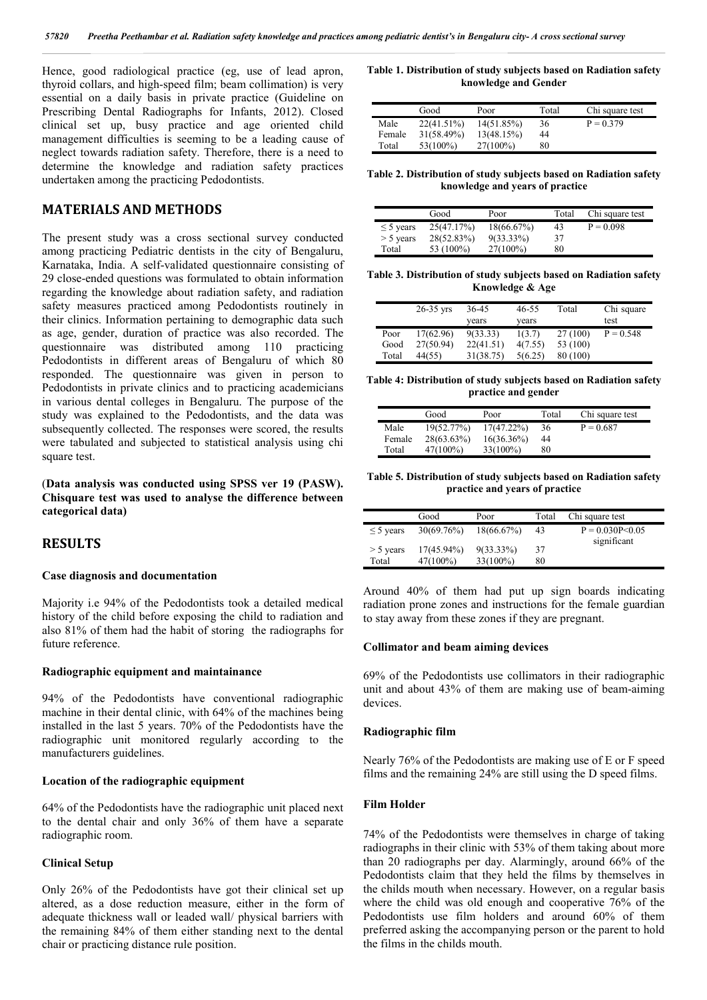Hence, good radiological practice (eg, use of lead apron, thyroid collars, and high-speed film; beam collimation) is very essential on a daily basis in private practice (Guideline on Prescribing Dental Radiographs for Infants, 2012). Closed clinical set up, busy practice and age oriented child management difficulties is seeming to be a leading cause of neglect towards radiation safety. Therefore, there is a need to determine the knowledge and radiation safety practices undertaken among the practicing Pedodontists.

### **MATERIALS AND METHODS**

The present study was a cross sectional survey conducted among practicing Pediatric dentists in the city of Bengaluru, Karnataka, India. A self-validated questionnaire consisting of 29 close-ended questions was formulated to obtain information regarding the knowledge about radiation safety, and radiation safety measures practiced among Pedodontists routinely in their clinics. Information pertaining to demographic data such as age, gender, duration of practice was also recorded. The questionnaire was distributed among 110 practicing Pedodontists in different areas of Bengaluru of which 80 responded. The questionnaire was given in person to Pedodontists in private clinics and to practicing academicians in various dental colleges in Bengaluru. The purpose of the study was explained to the Pedodontists, and the data was subsequently collected. The responses were scored, the results were tabulated and subjected to statistical analysis using chi square test.

(**Data analysis was conducted using SPSS ver 19 (PASW). Chisquare test was used to analyse the difference between categorical data)**

## **RESULTS**

#### **Case diagnosis and documentation**

Majority i.e 94% of the Pedodontists took a detailed medical history of the child before exposing the child to radiation and also 81% of them had the habit of storing the radiographs for future reference.

#### **Radiographic equipment and maintainance**

94% of the Pedodontists have conventional radiographic machine in their dental clinic, with 64% of the machines being installed in the last 5 years. 70% of the Pedodontists have the radiographic unit monitored regularly according to the manufacturers guidelines.

### **Location of the radiographic equipment**

64% of the Pedodontists have the radiographic unit placed next to the dental chair and only 36% of them have a separate radiographic room.

### **Clinical Setup**

Only 26% of the Pedodontists have got their clinical set up altered, as a dose reduction measure, either in the form of adequate thickness wall or leaded wall/ physical barriers with the remaining 84% of them either standing next to the dental chair or practicing distance rule position.

**Table 1. Distribution of study subjects based on Radiation safety knowledge and Gender**

|        | Good       | Poor        | Total | Chi square test |
|--------|------------|-------------|-------|-----------------|
| Male   | 22(41.51%) | 14(51.85%)  | 36    | $P = 0.379$     |
| Female | 31(58.49%) | 13(48.15%)  | 44    |                 |
| Total  | 53(100%)   | $27(100\%)$ | 80    |                 |

**Table 2. Distribution of study subjects based on Radiation safety knowledge and years of practice**

|                | Good         | Poor         | Total | Chi square test |
|----------------|--------------|--------------|-------|-----------------|
| $\leq$ 5 years | 25(47.17%)   | 18(66.67%)   | 43    | $P = 0.098$     |
| $>$ 5 years    | 28(52.83%)   | $9(33.33\%)$ | 37    |                 |
| Total          | 53 $(100\%)$ | $27(100\%)$  | 80    |                 |

**Table 3. Distribution of study subjects based on Radiation safety Knowledge & Age**

|       | $26-35$ yrs | 36-45     | 46-55   | Total    | Chi square  |
|-------|-------------|-----------|---------|----------|-------------|
|       |             | vears     | vears   |          | test        |
| Poor  | 17(62.96)   | 9(33.33)  | 1(3.7)  | 27(100)  | $P = 0.548$ |
| Good  | 27(50.94)   | 22(41.51) | 4(7.55) | 53 (100) |             |
| Total | 44(55)      | 31(38.75) | 5(6.25) | 80 (100) |             |

**Table 4: Distribution of study subjects based on Radiation safety practice and gender**

|        | Good          | Poor          | Total | Chi square test |
|--------|---------------|---------------|-------|-----------------|
| Male   | 19(52.77%)    | $17(47.22\%)$ | 36    | $P = 0.687$     |
| Female | $28(63.63\%)$ | $16(36.36\%)$ | 44    |                 |
| Total  | 47(100%)      | $33(100\%)$   | 80    |                 |

**Table 5. Distribution of study subjects based on Radiation safety practice and years of practice**

|                | Good          | Poor         | Total | Chi square test   |
|----------------|---------------|--------------|-------|-------------------|
| $\leq$ 5 years | 30(69.76%)    | 18(66.67%)   | 43    | $P = 0.030P<0.05$ |
|                |               |              |       | significant       |
| $>$ 5 years    | $17(45.94\%)$ | $9(33.33\%)$ | 37    |                   |
| Total          | $47(100\%)$   | 33(100%)     | 80    |                   |

Around 40% of them had put up sign boards indicating radiation prone zones and instructions for the female guardian to stay away from these zones if they are pregnant.

#### **Collimator and beam aiming devices**

69% of the Pedodontists use collimators in their radiographic unit and about 43% of them are making use of beam-aiming devices.

#### **Radiographic film**

Nearly 76% of the Pedodontists are making use of E or F speed films and the remaining 24% are still using the D speed films.

### **Film Holder**

74% of the Pedodontists were themselves in charge of taking radiographs in their clinic with 53% of them taking about more than 20 radiographs per day. Alarmingly, around 66% of the Pedodontists claim that they held the films by themselves in the childs mouth when necessary. However, on a regular basis where the child was old enough and cooperative 76% of the Pedodontists use film holders and around 60% of them preferred asking the accompanying person or the parent to hold the films in the childs mouth.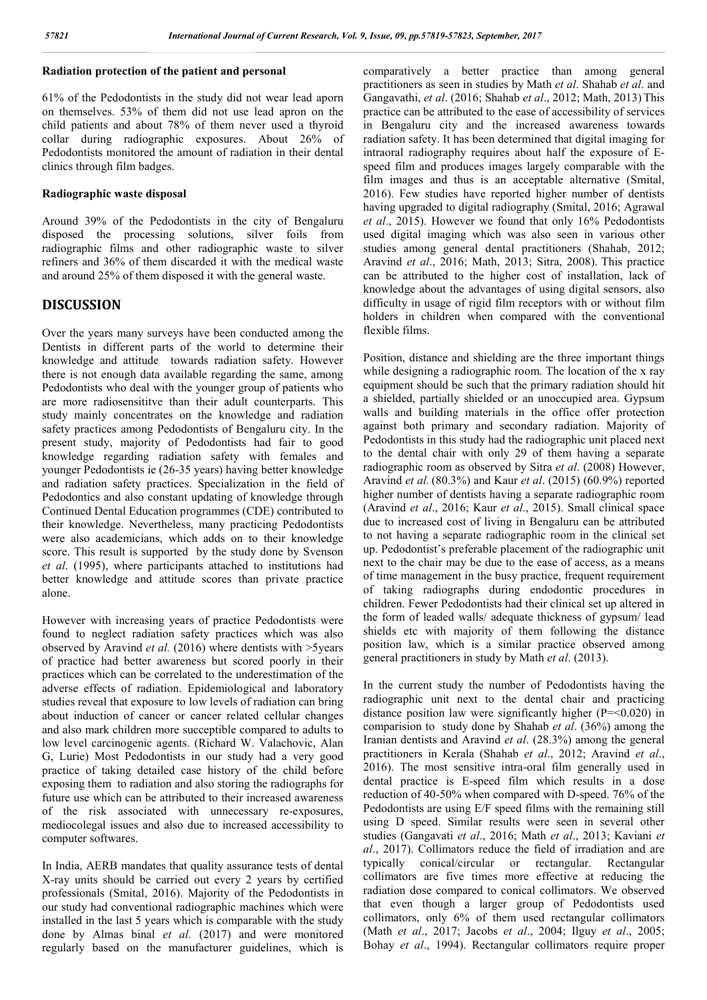## **Radiation protection of the patient and personal**

61% of the Pedodontists in the study did not wear lead aporn on themselves. 53% of them did not use lead apron on the child patients and about 78% of them never used a thyroid collar during radiographic exposures. About 26% of Pedodontists monitored the amount of radiation in their dental clinics through film badges.

### **Radiographic waste disposal**

Around 39% of the Pedodontists in the city of Bengaluru disposed the processing solutions, silver foils from radiographic films and other radiographic waste to silver refiners and 36% of them discarded it with the medical waste and around 25% of them disposed it with the general waste.

## **DISCUSSION**

Over the years many surveys have been conducted among the Dentists in different parts of the world to determine their knowledge and attitude towards radiation safety. However there is not enough data available regarding the same, among Pedodontists who deal with the younger group of patients who are more radiosensititve than their adult counterparts. This study mainly concentrates on the knowledge and radiation safety practices among Pedodontists of Bengaluru city. In the present study, majority of Pedodontists had fair to good knowledge regarding radiation safety with females and younger Pedodontists ie (26-35 years) having better knowledge and radiation safety practices. Specialization in the field of Pedodontics and also constant updating of knowledge through Continued Dental Education programmes (CDE) contributed to their knowledge. Nevertheless, many practicing Pedodontists were also academicians, which adds on to their knowledge score. This result is supported by the study done by Svenson *et al*. (1995), where participants attached to institutions had better knowledge and attitude scores than private practice alone.

However with increasing years of practice Pedodontists were found to neglect radiation safety practices which was also observed by Aravind *et al.* (2016) where dentists with >5years of practice had better awareness but scored poorly in their practices which can be correlated to the underestimation of the adverse effects of radiation. Epidemiological and laboratory studies reveal that exposure to low levels of radiation can bring about induction of cancer or cancer related cellular changes and also mark children more succeptible compared to adults to low level carcinogenic agents. (Richard W. Valachovic, Alan G, Lurie) Most Pedodontists in our study had a very good practice of taking detailed case history of the child before exposing them to radiation and also storing the radiographs for future use which can be attributed to their increased awareness of the risk associated with unnecessary re-exposures, mediocolegal issues and also due to increased accessibility to computer softwares.

In India, AERB mandates that quality assurance tests of dental X-ray units should be carried out every 2 years by certified professionals (Smital, 2016). Majority of the Pedodontists in our study had conventional radiographic machines which were installed in the last 5 years which is comparable with the study done by Almas binal *et al.* (2017) and were monitored regularly based on the manufacturer guidelines, which is

comparatively a better practice than among general practitioners as seen in studies by Math *et al*. Shahab *et al*. and Gangavathi, *et al*. (2016; Shahab *et al*., 2012; Math, 2013) This practice can be attributed to the ease of accessibility of services in Bengaluru city and the increased awareness towards radiation safety. It has been determined that digital imaging for intraoral radiography requires about half the exposure of Espeed film and produces images largely comparable with the film images and thus is an acceptable alternative (Smital, 2016). Few studies have reported higher number of dentists having upgraded to digital radiography (Smital, 2016; Agrawal *et al*., 2015). However we found that only 16% Pedodontists used digital imaging which was also seen in various other studies among general dental practitioners (Shahab, 2012; Aravind *et al*., 2016; Math, 2013; Sitra, 2008). This practice can be attributed to the higher cost of installation, lack of knowledge about the advantages of using digital sensors, also difficulty in usage of rigid film receptors with or without film holders in children when compared with the conventional flexible films.

Position, distance and shielding are the three important things while designing a radiographic room. The location of the x ray equipment should be such that the primary radiation should hit a shielded, partially shielded or an unoccupied area. Gypsum walls and building materials in the office offer protection against both primary and secondary radiation. Majority of Pedodontists in this study had the radiographic unit placed next to the dental chair with only 29 of them having a separate radiographic room as observed by Sitra *et al*. (2008) However, Aravind *et al.* (80.3%) and Kaur *et al*. (2015) (60.9%) reported higher number of dentists having a separate radiographic room (Aravind *et al*., 2016; Kaur *et al*., 2015). Small clinical space due to increased cost of living in Bengaluru can be attributed to not having a separate radiographic room in the clinical set up. Pedodontist's preferable placement of the radiographic unit next to the chair may be due to the ease of access, as a means of time management in the busy practice, frequent requirement of taking radiographs during endodontic procedures in children. Fewer Pedodontists had their clinical set up altered in the form of leaded walls/ adequate thickness of gypsum/ lead shields etc with majority of them following the distance position law, which is a similar practice observed among general practitioners in study by Math *et al*. (2013).

In the current study the number of Pedodontists having the radiographic unit next to the dental chair and practicing distance position law were significantly higher  $(P = 0.020)$  in comparision to study done by Shahab *et al*. (36%) among the Iranian dentists and Aravind *et al*. (28.3%) among the general practitioners in Kerala (Shahab *et al*., 2012; Aravind *et al*., 2016). The most sensitive intra-oral film generally used in dental practice is E-speed film which results in a dose reduction of 40-50% when compared with D-speed. 76% of the Pedodontists are using E/F speed films with the remaining still using D speed. Similar results were seen in several other studies (Gangavati *et al*., 2016; Math *et al*., 2013; Kaviani *et al*., 2017). Collimators reduce the field of irradiation and are typically conical/circular or rectangular. Rectangular collimators are five times more effective at reducing the radiation dose compared to conical collimators. We observed that even though a larger group of Pedodontists used collimators, only 6% of them used rectangular collimators (Math *et al*., 2017; Jacobs *et al*., 2004; Ilguy *et al*., 2005; Bohay *et al*., 1994). Rectangular collimators require proper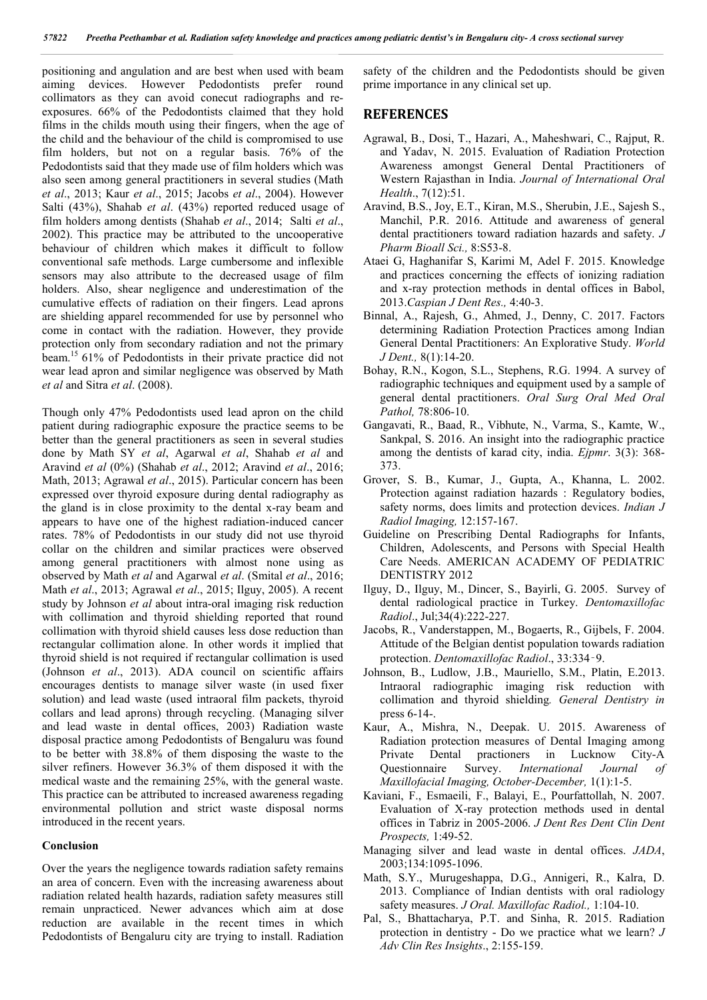positioning and angulation and are best when used with beam aiming devices. However Pedodontists prefer round collimators as they can avoid conecut radiographs and reexposures. 66% of the Pedodontists claimed that they hold films in the childs mouth using their fingers, when the age of the child and the behaviour of the child is compromised to use film holders, but not on a regular basis. 76% of the Pedodontists said that they made use of film holders which was also seen among general practitioners in several studies (Math *et al*., 2013; Kaur *et al*., 2015; Jacobs *et al*., 2004). However Salti (43%), Shahab *et al*. (43%) reported reduced usage of film holders among dentists (Shahab *et al*., 2014; Salti *et al*., 2002). This practice may be attributed to the uncooperative behaviour of children which makes it difficult to follow conventional safe methods. Large cumbersome and inflexible sensors may also attribute to the decreased usage of film holders. Also, shear negligence and underestimation of the cumulative effects of radiation on their fingers. Lead aprons are shielding apparel recommended for use by personnel who come in contact with the radiation. However, they provide protection only from secondary radiation and not the primary beam.15 61% of Pedodontists in their private practice did not wear lead apron and similar negligence was observed by Math *et al* and Sitra *et al*. (2008).

Though only 47% Pedodontists used lead apron on the child patient during radiographic exposure the practice seems to be better than the general practitioners as seen in several studies done by Math SY *et al*, Agarwal *et al*, Shahab *et al* and Aravind *et al* (0%) (Shahab *et al*., 2012; Aravind *et al*., 2016; Math, 2013; Agrawal *et al*., 2015). Particular concern has been expressed over thyroid exposure during dental radiography as the gland is in close proximity to the dental x-ray beam and appears to have one of the highest radiation-induced cancer rates. 78% of Pedodontists in our study did not use thyroid collar on the children and similar practices were observed among general practitioners with almost none using as observed by Math *et al* and Agarwal *et al*. (Smital *et al*., 2016; Math *et al*., 2013; Agrawal *et al*., 2015; Ilguy, 2005). A recent study by Johnson *et al* about intra-oral imaging risk reduction with collimation and thyroid shielding reported that round collimation with thyroid shield causes less dose reduction than rectangular collimation alone. In other words it implied that thyroid shield is not required if rectangular collimation is used (Johnson *et al*., 2013). ADA council on scientific affairs encourages dentists to manage silver waste (in used fixer solution) and lead waste (used intraoral film packets, thyroid collars and lead aprons) through recycling. (Managing silver and lead waste in dental offices, 2003) Radiation waste disposal practice among Pedodontists of Bengaluru was found to be better with 38.8% of them disposing the waste to the silver refiners. However 36.3% of them disposed it with the medical waste and the remaining 25%, with the general waste. This practice can be attributed to increased awareness regading environmental pollution and strict waste disposal norms introduced in the recent years.

#### **Conclusion**

Over the years the negligence towards radiation safety remains an area of concern. Even with the increasing awareness about radiation related health hazards, radiation safety measures still remain unpracticed. Newer advances which aim at dose reduction are available in the recent times in which Pedodontists of Bengaluru city are trying to install. Radiation

safety of the children and the Pedodontists should be given prime importance in any clinical set up.

## **REFERENCES**

- Agrawal, B., Dosi, T., Hazari, A., Maheshwari, C., Rajput, R. and Yadav, N. 2015. Evaluation of Radiation Protection Awareness amongst General Dental Practitioners of Western Rajasthan in India. *Journal of International Oral Health*., 7(12):51.
- Aravind, B.S., Joy, E.T., Kiran, M.S., Sherubin, J.E., Sajesh S., Manchil, P.R. 2016. Attitude and awareness of general dental practitioners toward radiation hazards and safety. *J Pharm Bioall Sci.,* 8:S53-8.
- Ataei G, Haghanifar S, Karimi M, Adel F. 2015. Knowledge and practices concerning the effects of ionizing radiation and x-ray protection methods in dental offices in Babol, 2013.*Caspian J Dent Res.,* 4:40-3.
- Binnal, A., Rajesh, G., Ahmed, J., Denny, C. 2017. Factors determining Radiation Protection Practices among Indian General Dental Practitioners: An Explorative Study. *World J Dent.,* 8(1):14-20.
- Bohay, R.N., Kogon, S.L., Stephens, R.G. 1994. A survey of radiographic techniques and equipment used by a sample of general dental practitioners. *Oral Surg Oral Med Oral Pathol,* 78:806-10.
- Gangavati, R., Baad, R., Vibhute, N., Varma, S., Kamte, W., Sankpal, S. 2016. An insight into the radiographic practice among the dentists of karad city, india. *Ejpmr*. 3(3): 368- 373.
- Grover, S. B., Kumar, J., Gupta, A., Khanna, L. 2002. Protection against radiation hazards : Regulatory bodies, safety norms, does limits and protection devices. *Indian J Radiol Imaging,* 12:157-167.
- Guideline on Prescribing Dental Radiographs for Infants, Children, Adolescents, and Persons with Special Health Care Needs. AMERICAN ACADEMY OF PEDIATRIC DENTISTRY 2012
- Ilguy, D., Ilguy, M., Dincer, S., Bayirli, G. 2005. Survey of dental radiological practice in Turkey. *Dentomaxillofac Radiol*., Jul;34(4):222-227.
- Jacobs, R., Vanderstappen, M., Bogaerts, R., Gijbels, F. 2004. Attitude of the Belgian dentist population towards radiation protection. *Dentomaxillofac Radiol*., 33:334‑9.
- Johnson, B., Ludlow, J.B., Mauriello, S.M., Platin, E.2013. Intraoral radiographic imaging risk reduction with collimation and thyroid shielding*. General Dentistry in* press 6-14-.
- Kaur, A., Mishra, N., Deepak. U. 2015. Awareness of Radiation protection measures of Dental Imaging among Private Dental practioners in Lucknow City-A Questionnaire Survey. *International Journal of Maxillofacial Imaging, October-December,* 1(1):1-5.
- Kaviani, F., Esmaeili, F., Balayi, E., Pourfattollah, N. 2007. Evaluation of X-ray protection methods used in dental offices in Tabriz in 2005-2006. *J Dent Res Dent Clin Dent Prospects,* 1:49-52.
- Managing silver and lead waste in dental offices. *JADA*, 2003;134:1095-1096.
- Math, S.Y., Murugeshappa, D.G., Annigeri, R., Kalra, D. 2013. Compliance of Indian dentists with oral radiology safety measures. *J Oral. Maxillofac Radiol.,* 1:104-10.
- Pal, S., Bhattacharya, P.T. and Sinha, R. 2015. Radiation protection in dentistry - Do we practice what we learn? *J Adv Clin Res Insights*., 2:155-159.